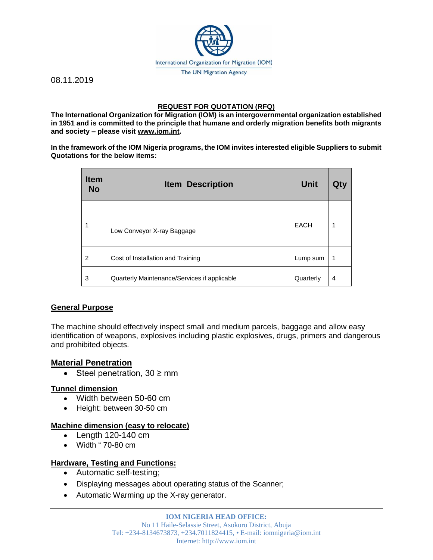

08.11.2019

# **REQUEST FOR QUOTATION (RFQ)**

**The International Organization for Migration (IOM) is an intergovernmental organization established in 1951 and is committed to the principle that humane and orderly migration benefits both migrants and society – please visit [www.iom.int.](http://www.iom.int/)**

**In the framework of the IOM Nigeria programs, the IOM invites interested eligible Suppliers to submit Quotations for the below items:**

| <b>Item</b><br><b>No</b> | <b>Item Description</b>                      | <b>Unit</b> | Qty |
|--------------------------|----------------------------------------------|-------------|-----|
| 1                        | Low Conveyor X-ray Baggage                   | <b>EACH</b> | 1   |
| 2                        | Cost of Installation and Training            | Lump sum    | 1   |
| 3                        | Quarterly Maintenance/Services if applicable | Quarterly   | 4   |

# **General Purpose**

The machine should effectively inspect small and medium parcels, baggage and allow easy identification of weapons, explosives including plastic explosives, drugs, primers and dangerous and prohibited objects.

# **Material Penetration**

• Steel penetration,  $30 \geq$  mm

#### **Tunnel dimension**

- Width between 50-60 cm
- Height: between 30-50 cm

# **Machine dimension (easy to relocate)**

- Length 120-140 cm
- $\bullet$  Width " 70-80 cm

# **Hardware, Testing and Functions:**

- Automatic self-testing;
- Displaying messages about operating status of the Scanner;
- Automatic Warming up the X-ray generator.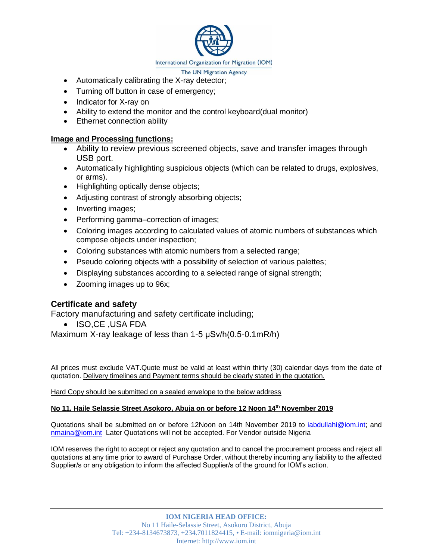

- The UN Migration Agency
- Automatically calibrating the X-ray detector;
- Turning off button in case of emergency;
- Indicator for X-ray on
- Ability to extend the monitor and the control keyboard(dual monitor)
- Ethernet connection ability

#### **Image and Processing functions:**

- Ability to review previous screened objects, save and transfer images through USB port.
- Automatically highlighting suspicious objects (which can be related to drugs, explosives, or arms).
- Highlighting optically dense objects;
- Adjusting contrast of strongly absorbing objects;
- Inverting images;
- Performing gamma–correction of images;
- Coloring images according to calculated values of atomic numbers of substances which compose objects under inspection;
- Coloring substances with atomic numbers from a selected range;
- Pseudo coloring objects with a possibility of selection of various palettes;
- Displaying substances according to a selected range of signal strength;
- Zooming images up to 96x;

# **Certificate and safety**

Factory manufacturing and safety certificate including;

ISO,CE ,USA FDA

Maximum X-ray leakage of less than 1-5 μSv/h(0.5-0.1mR/h)

All prices must exclude VAT.Quote must be valid at least within thirty (30) calendar days from the date of quotation. Delivery timelines and Payment terms should be clearly stated in the quotation.

Hard Copy should be submitted on a sealed envelope to the below address

#### **No 11. Haile Selassie Street Asokoro, Abuja on or before 12 Noon 14th November 2019**

Quotations shall be submitted on or before 12Noon on 14th November 2019 to [iabdullahi@iom.int;](mailto:iabdullahi@iom.int) and [nmaina@iom.int](mailto:nmaina@iom.int) Later Quotations will not be accepted. For Vendor outside Nigeria

IOM reserves the right to accept or reject any quotation and to cancel the procurement process and reject all quotations at any time prior to award of Purchase Order, without thereby incurring any liability to the affected Supplier/s or any obligation to inform the affected Supplier/s of the ground for IOM's action.